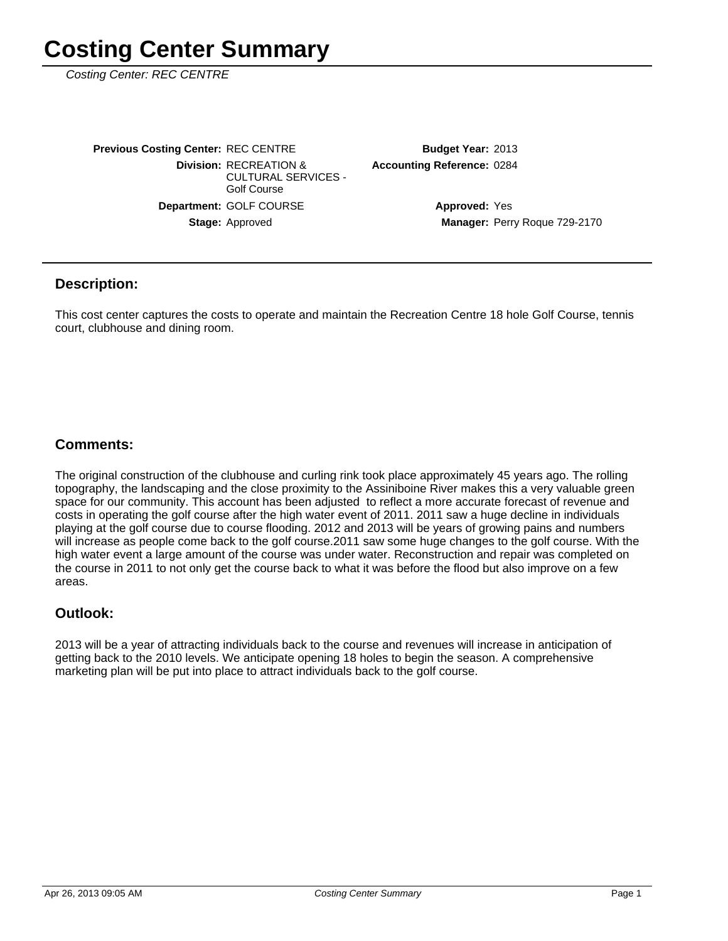Costing Center: REC CENTRE

Stage: Approved Department: GOLF COURSE **Division: RECREATION &** CULTURAL SERVICES - Golf Course **Previous Costing Center: REC CENTRE** 

**Accounting Reference: 0284** Budget Year: 2013

> Manager: Perry Roque 729-2170 **Approved: Yes**

#### **Description:**

This cost center captures the costs to operate and maintain the Recreation Centre 18 hole Golf Course, tennis court, clubhouse and dining room.

### **Comments:**

The original construction of the clubhouse and curling rink took place approximately 45 years ago. The rolling topography, the landscaping and the close proximity to the Assiniboine River makes this a very valuable green space for our community. This account has been adjusted to reflect a more accurate forecast of revenue and costs in operating the golf course after the high water event of 2011. 2011 saw a huge decline in individuals playing at the golf course due to course flooding. 2012 and 2013 will be years of growing pains and numbers will increase as people come back to the golf course.2011 saw some huge changes to the golf course. With the high water event a large amount of the course was under water. Reconstruction and repair was completed on the course in 2011 to not only get the course back to what it was before the flood but also improve on a few areas.

#### **Outlook:**

2013 will be a year of attracting individuals back to the course and revenues will increase in anticipation of getting back to the 2010 levels. We anticipate opening 18 holes to begin the season. A comprehensive marketing plan will be put into place to attract individuals back to the golf course.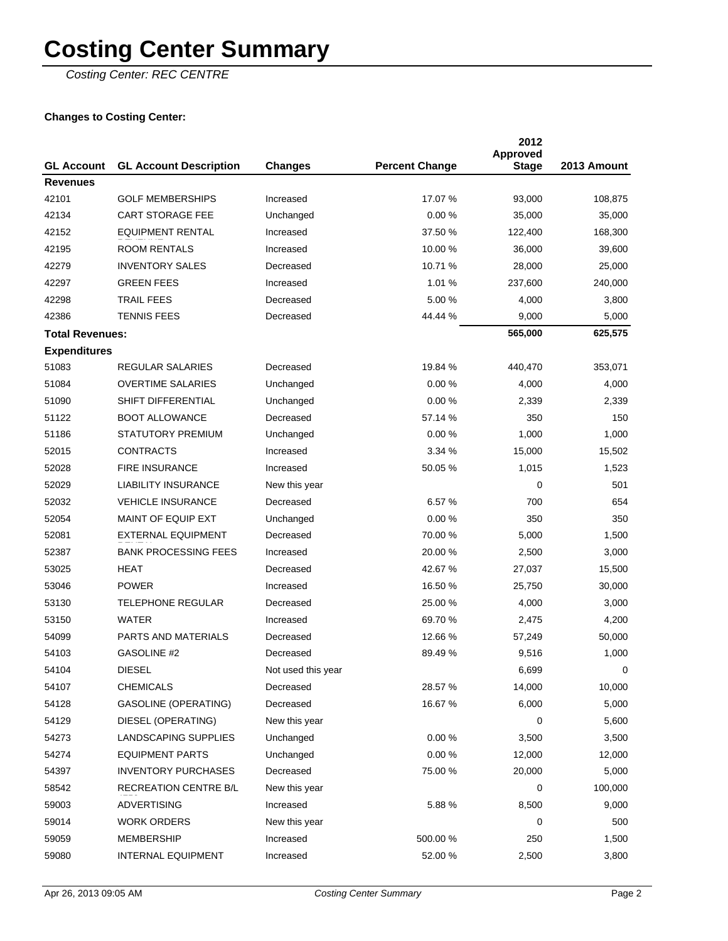Costing Center: REC CENTRE

### **Changes to Costing Center:**

| <b>GL Account</b>      | <b>GL Account Description</b> | <b>Changes</b>     | <b>Percent Change</b> | 2012<br>Approved<br><b>Stage</b> | 2013 Amount |
|------------------------|-------------------------------|--------------------|-----------------------|----------------------------------|-------------|
| <b>Revenues</b>        |                               |                    |                       |                                  |             |
| 42101                  | <b>GOLF MEMBERSHIPS</b>       | Increased          | 17.07 %               | 93,000                           | 108,875     |
| 42134                  | <b>CART STORAGE FEE</b>       | Unchanged          | 0.00%                 | 35,000                           | 35,000      |
| 42152                  | <b>EQUIPMENT RENTAL</b>       | Increased          | 37.50 %               | 122,400                          | 168,300     |
| 42195                  | <b>ROOM RENTALS</b>           | Increased          | 10.00 %               | 36,000                           | 39,600      |
| 42279                  | <b>INVENTORY SALES</b>        | Decreased          | 10.71 %               | 28,000                           | 25,000      |
| 42297                  | <b>GREEN FEES</b>             | Increased          | 1.01%                 | 237,600                          | 240,000     |
| 42298                  | <b>TRAIL FEES</b>             | Decreased          | 5.00 %                | 4,000                            | 3,800       |
| 42386                  | <b>TENNIS FEES</b>            | Decreased          | 44.44 %               | 9,000                            | 5,000       |
| <b>Total Revenues:</b> |                               |                    |                       | 565,000                          | 625,575     |
| <b>Expenditures</b>    |                               |                    |                       |                                  |             |
| 51083                  | <b>REGULAR SALARIES</b>       | Decreased          | 19.84 %               | 440,470                          | 353,071     |
| 51084                  | <b>OVERTIME SALARIES</b>      | Unchanged          | 0.00%                 | 4,000                            | 4,000       |
| 51090                  | SHIFT DIFFERENTIAL            | Unchanged          | 0.00%                 | 2,339                            | 2,339       |
| 51122                  | <b>BOOT ALLOWANCE</b>         | Decreased          | 57.14 %               | 350                              | 150         |
| 51186                  | STATUTORY PREMIUM             | Unchanged          | 0.00%                 | 1,000                            | 1,000       |
| 52015                  | <b>CONTRACTS</b>              | Increased          | 3.34%                 | 15,000                           | 15,502      |
| 52028                  | <b>FIRE INSURANCE</b>         | Increased          | 50.05 %               | 1,015                            | 1,523       |
| 52029                  | <b>LIABILITY INSURANCE</b>    | New this year      |                       | 0                                | 501         |
| 52032                  | <b>VEHICLE INSURANCE</b>      | Decreased          | 6.57 %                | 700                              | 654         |
| 52054                  | <b>MAINT OF EQUIP EXT</b>     | Unchanged          | 0.00%                 | 350                              | 350         |
| 52081                  | <b>EXTERNAL EQUIPMENT</b>     | Decreased          | 70.00 %               | 5,000                            | 1,500       |
| 52387                  | <b>BANK PROCESSING FEES</b>   | Increased          | 20.00 %               | 2,500                            | 3,000       |
| 53025                  | HEAT                          | Decreased          | 42.67 %               | 27,037                           | 15,500      |
| 53046                  | <b>POWER</b>                  | Increased          | 16.50 %               | 25,750                           | 30,000      |
| 53130                  | <b>TELEPHONE REGULAR</b>      | Decreased          | 25.00 %               | 4,000                            | 3,000       |
| 53150                  | <b>WATER</b>                  | Increased          | 69.70 %               | 2,475                            | 4,200       |
| 54099                  | PARTS AND MATERIALS           | Decreased          | 12.66 %               | 57,249                           | 50,000      |
| 54103                  | <b>GASOLINE #2</b>            | Decreased          | 89.49 %               | 9,516                            | 1,000       |
| 54104                  | <b>DIESEL</b>                 | Not used this year |                       | 6,699                            | 0           |
| 54107                  | <b>CHEMICALS</b>              | Decreased          | 28.57 %               | 14,000                           | 10,000      |
| 54128                  | GASOLINE (OPERATING)          | Decreased          | 16.67 %               | 6,000                            | 5,000       |
| 54129                  | DIESEL (OPERATING)            | New this year      |                       | 0                                | 5,600       |
| 54273                  | LANDSCAPING SUPPLIES          | Unchanged          | 0.00%                 | 3,500                            | 3,500       |
| 54274                  | <b>EQUIPMENT PARTS</b>        | Unchanged          | 0.00%                 | 12,000                           | 12,000      |
| 54397                  | <b>INVENTORY PURCHASES</b>    | Decreased          | 75.00 %               | 20,000                           | 5,000       |
| 58542                  | RECREATION CENTRE B/L         | New this year      |                       | 0                                | 100,000     |
| 59003                  | <b>ADVERTISING</b>            | Increased          | 5.88%                 | 8,500                            | 9,000       |
| 59014                  | <b>WORK ORDERS</b>            | New this year      |                       | 0                                | 500         |
| 59059                  | MEMBERSHIP                    | Increased          | 500.00 %              | 250                              | 1,500       |
| 59080                  | <b>INTERNAL EQUIPMENT</b>     | Increased          | 52.00 %               | 2,500                            | 3,800       |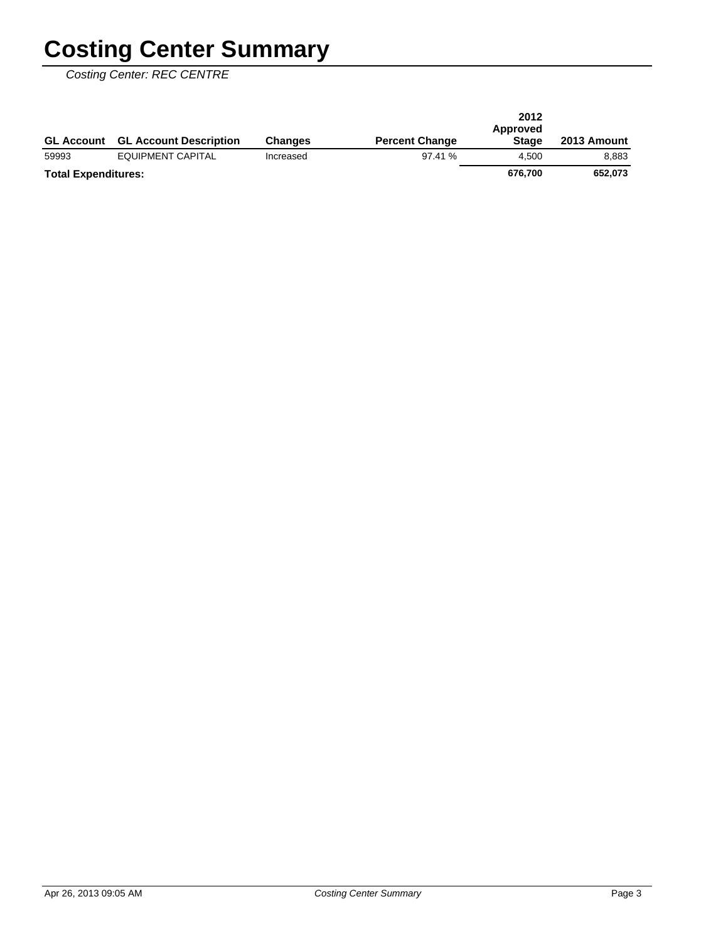Costing Center: REC CENTRE

|                            | <b>GL Account GL Account Description</b> | <b>Changes</b> | <b>Percent Change</b> | 2012<br>Approved<br><b>Stage</b> | 2013 Amount |
|----------------------------|------------------------------------------|----------------|-----------------------|----------------------------------|-------------|
| 59993                      | EQUIPMENT CAPITAL                        | Increased      | 97.41%                | 4.500                            | 8.883       |
| <b>Total Expenditures:</b> |                                          |                |                       | 676.700                          | 652.073     |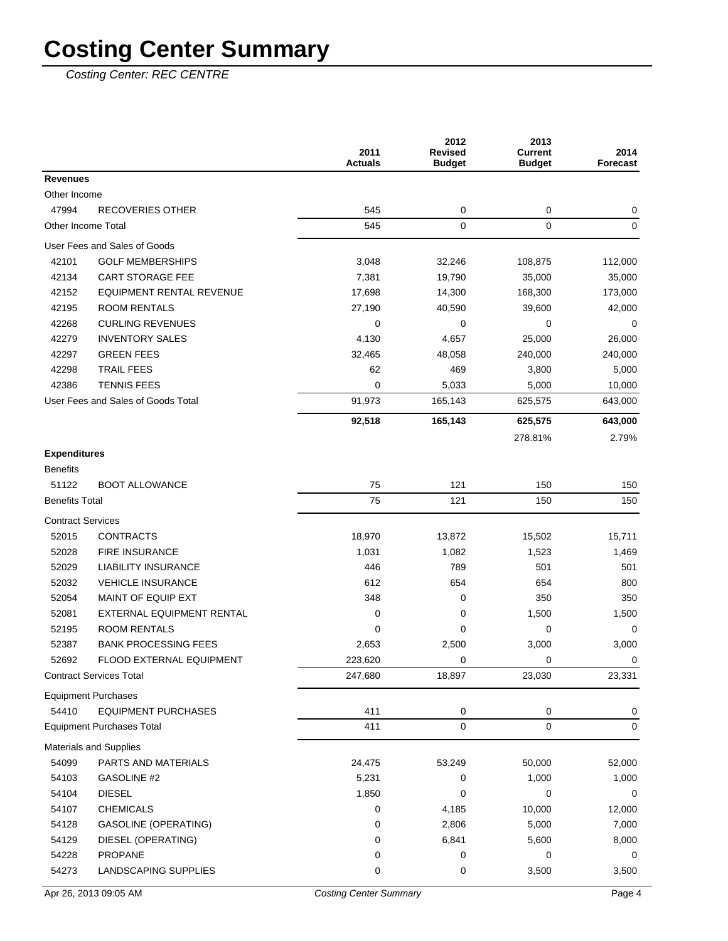Costing Center: REC CENTRE

|                          |                                    | 2011<br><b>Actuals</b> | 2012<br><b>Revised</b><br><b>Budget</b> | 2013<br><b>Current</b><br><b>Budget</b> | 2014<br>Forecast |
|--------------------------|------------------------------------|------------------------|-----------------------------------------|-----------------------------------------|------------------|
| <b>Revenues</b>          |                                    |                        |                                         |                                         |                  |
| Other Income             |                                    |                        |                                         |                                         |                  |
| 47994                    | <b>RECOVERIES OTHER</b>            | 545                    | 0                                       | 0                                       | 0                |
|                          | Other Income Total                 | 545                    | 0                                       | 0                                       | $\mathbf 0$      |
|                          | User Fees and Sales of Goods       |                        |                                         |                                         |                  |
| 42101                    | <b>GOLF MEMBERSHIPS</b>            | 3,048                  | 32,246                                  | 108,875                                 | 112,000          |
| 42134                    | <b>CART STORAGE FEE</b>            | 7,381                  | 19,790                                  | 35,000                                  | 35,000           |
| 42152                    | <b>EQUIPMENT RENTAL REVENUE</b>    | 17,698                 | 14,300                                  | 168,300                                 | 173,000          |
| 42195                    | <b>ROOM RENTALS</b>                | 27,190                 | 40,590                                  | 39,600                                  | 42,000           |
| 42268                    | <b>CURLING REVENUES</b>            | 0                      | 0                                       | 0                                       | 0                |
| 42279                    | <b>INVENTORY SALES</b>             | 4,130                  | 4,657                                   | 25,000                                  | 26,000           |
| 42297                    | <b>GREEN FEES</b>                  | 32,465                 | 48,058                                  | 240,000                                 | 240,000          |
| 42298                    | <b>TRAIL FEES</b>                  | 62                     | 469                                     | 3,800                                   | 5,000            |
| 42386                    | <b>TENNIS FEES</b>                 | 0                      | 5,033                                   | 5,000                                   | 10,000           |
|                          | User Fees and Sales of Goods Total | 91,973                 | 165,143                                 | 625,575                                 | 643,000          |
|                          |                                    | 92,518                 | 165,143                                 | 625,575                                 | 643,000          |
|                          |                                    |                        |                                         | 278.81%                                 | 2.79%            |
| <b>Expenditures</b>      |                                    |                        |                                         |                                         |                  |
| <b>Benefits</b>          |                                    |                        |                                         |                                         |                  |
| 51122                    | <b>BOOT ALLOWANCE</b>              | 75                     | 121                                     | 150                                     | 150              |
| <b>Benefits Total</b>    |                                    | 75                     | 121                                     | 150                                     | 150              |
| <b>Contract Services</b> |                                    |                        |                                         |                                         |                  |
| 52015                    | <b>CONTRACTS</b>                   | 18,970                 | 13,872                                  | 15,502                                  | 15,711           |
| 52028                    | <b>FIRE INSURANCE</b>              | 1,031                  | 1,082                                   | 1,523                                   | 1,469            |
| 52029                    | <b>LIABILITY INSURANCE</b>         | 446                    | 789                                     | 501                                     | 501              |
| 52032                    | <b>VEHICLE INSURANCE</b>           | 612                    | 654                                     | 654                                     | 800              |
| 52054                    | MAINT OF EQUIP EXT                 | 348                    | 0                                       | 350                                     | 350              |
| 52081                    | EXTERNAL EQUIPMENT RENTAL          | 0                      | 0                                       | 1,500                                   | 1,500            |
| 52195                    | <b>ROOM RENTALS</b>                | 0                      | $\mathbf 0$                             | 0                                       | 0                |
| 52387                    | <b>BANK PROCESSING FEES</b>        | 2,653                  | 2,500                                   | 3,000                                   | 3,000            |
| 52692                    | <b>FLOOD EXTERNAL EQUIPMENT</b>    | 223,620                | 0                                       | 0                                       | 0                |
|                          | <b>Contract Services Total</b>     | 247,680                | 18,897                                  | 23,030                                  | 23,331           |
|                          | <b>Equipment Purchases</b>         |                        |                                         |                                         |                  |
| 54410                    | <b>EQUIPMENT PURCHASES</b>         | 411                    | 0                                       | 0                                       | 0                |
|                          | <b>Equipment Purchases Total</b>   | 411                    | 0                                       | 0                                       | 0                |
|                          | Materials and Supplies             |                        |                                         |                                         |                  |
| 54099                    | PARTS AND MATERIALS                | 24,475                 | 53,249                                  | 50,000                                  | 52,000           |
| 54103                    | GASOLINE #2                        | 5,231                  | 0                                       | 1,000                                   | 1,000            |
| 54104                    | <b>DIESEL</b>                      | 1,850                  | 0                                       | 0                                       | 0                |
| 54107                    | <b>CHEMICALS</b>                   | 0                      | 4,185                                   | 10,000                                  | 12,000           |
| 54128                    | <b>GASOLINE (OPERATING)</b>        | 0                      | 2,806                                   | 5,000                                   | 7,000            |
| 54129                    | DIESEL (OPERATING)                 | 0                      | 6,841                                   | 5,600                                   | 8,000            |
| 54228                    | <b>PROPANE</b>                     | 0                      | 0                                       | 0                                       | 0                |
| 54273                    | LANDSCAPING SUPPLIES               | 0                      | 0                                       | 3,500                                   | 3,500            |
|                          |                                    |                        |                                         |                                         |                  |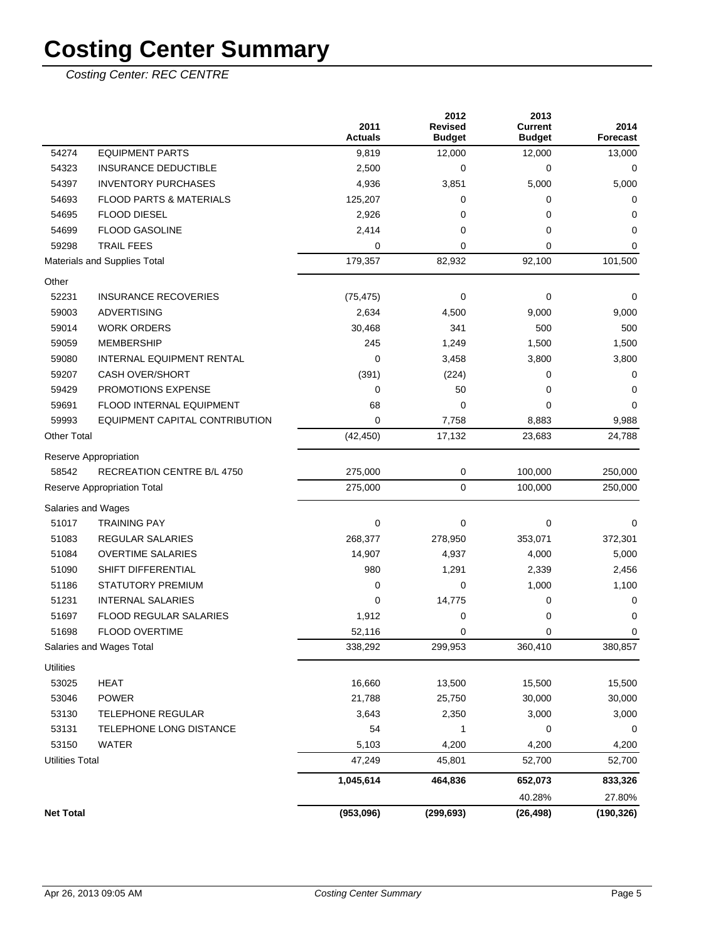Costing Center: REC CENTRE

|                        |                                    | 2011<br><b>Actuals</b> | 2012<br><b>Revised</b><br><b>Budget</b> | 2013<br><b>Current</b><br><b>Budget</b> | 2014<br><b>Forecast</b> |
|------------------------|------------------------------------|------------------------|-----------------------------------------|-----------------------------------------|-------------------------|
| 54274                  | <b>EQUIPMENT PARTS</b>             | 9,819                  | 12,000                                  | 12,000                                  | 13,000                  |
| 54323                  | <b>INSURANCE DEDUCTIBLE</b>        | 2,500                  | 0                                       | 0                                       | 0                       |
| 54397                  | <b>INVENTORY PURCHASES</b>         | 4,936                  | 3,851                                   | 5,000                                   | 5,000                   |
| 54693                  | <b>FLOOD PARTS &amp; MATERIALS</b> | 125,207                | 0                                       | 0                                       | 0                       |
| 54695                  | <b>FLOOD DIESEL</b>                | 2,926                  | 0                                       | 0                                       | 0                       |
| 54699                  | <b>FLOOD GASOLINE</b>              | 2,414                  | 0                                       | 0                                       | 0                       |
| 59298                  | <b>TRAIL FEES</b>                  | 0                      | $\mathbf 0$                             | 0                                       | 0                       |
|                        | Materials and Supplies Total       | 179,357                | 82,932                                  | 92,100                                  | 101,500                 |
| Other                  |                                    |                        |                                         |                                         |                         |
| 52231                  | <b>INSURANCE RECOVERIES</b>        | (75, 475)              | $\mathbf 0$                             | 0                                       | 0                       |
| 59003                  | <b>ADVERTISING</b>                 | 2,634                  | 4,500                                   | 9,000                                   | 9,000                   |
| 59014                  | <b>WORK ORDERS</b>                 | 30,468                 | 341                                     | 500                                     | 500                     |
| 59059                  | <b>MEMBERSHIP</b>                  | 245                    | 1,249                                   | 1,500                                   | 1,500                   |
| 59080                  | INTERNAL EQUIPMENT RENTAL          | 0                      | 3,458                                   | 3,800                                   | 3,800                   |
| 59207                  | <b>CASH OVER/SHORT</b>             | (391)                  | (224)                                   | 0                                       | 0                       |
| 59429                  | PROMOTIONS EXPENSE                 | 0                      | 50                                      | 0                                       | 0                       |
| 59691                  | FLOOD INTERNAL EQUIPMENT           | 68                     | 0                                       | 0                                       | 0                       |
| 59993                  | EQUIPMENT CAPITAL CONTRIBUTION     | $\mathbf 0$            | 7,758                                   | 8,883                                   | 9,988                   |
| <b>Other Total</b>     |                                    | (42, 450)              | 17,132                                  | 23,683                                  | 24,788                  |
|                        | Reserve Appropriation              |                        |                                         |                                         |                         |
| 58542                  | <b>RECREATION CENTRE B/L 4750</b>  | 275,000                | $\pmb{0}$                               | 100,000                                 | 250,000                 |
|                        | Reserve Appropriation Total        | 275,000                | $\mathbf 0$                             | 100,000                                 | 250,000                 |
|                        | Salaries and Wages                 |                        |                                         |                                         |                         |
| 51017                  | <b>TRAINING PAY</b>                | $\mathbf 0$            | $\mathbf 0$                             | 0                                       | 0                       |
| 51083                  | <b>REGULAR SALARIES</b>            | 268,377                | 278,950                                 | 353,071                                 | 372,301                 |
| 51084                  | <b>OVERTIME SALARIES</b>           | 14,907                 | 4,937                                   | 4,000                                   | 5,000                   |
| 51090                  | SHIFT DIFFERENTIAL                 | 980                    | 1,291                                   | 2,339                                   | 2,456                   |
| 51186                  | <b>STATUTORY PREMIUM</b>           | $\mathbf 0$            | 0                                       | 1,000                                   | 1,100                   |
| 51231                  | <b>INTERNAL SALARIES</b>           | $\mathbf 0$            | 14,775                                  | 0                                       | 0                       |
| 51697                  | FLOOD REGULAR SALARIES             | 1,912                  | 0                                       | 0                                       | 0                       |
| 51698                  | <b>FLOOD OVERTIME</b>              | 52,116                 | 0                                       | 0                                       | 0                       |
|                        | Salaries and Wages Total           | 338,292                | 299,953                                 | 360,410                                 | 380,857                 |
| <b>Utilities</b>       |                                    |                        |                                         |                                         |                         |
| 53025                  | <b>HEAT</b>                        | 16,660                 | 13,500                                  | 15,500                                  | 15,500                  |
| 53046                  | <b>POWER</b>                       | 21,788                 | 25,750                                  | 30,000                                  | 30,000                  |
| 53130                  | <b>TELEPHONE REGULAR</b>           | 3,643                  | 2,350                                   | 3,000                                   | 3,000                   |
| 53131                  | TELEPHONE LONG DISTANCE            | 54                     | 1                                       | 0                                       | 0                       |
| 53150                  | <b>WATER</b>                       | 5,103                  | 4,200                                   | 4,200                                   | 4,200                   |
| <b>Utilities Total</b> |                                    | 47,249                 | 45,801                                  | 52,700                                  | 52,700                  |
|                        |                                    | 1,045,614              | 464,836                                 | 652,073                                 | 833,326                 |
|                        |                                    |                        |                                         | 40.28%                                  | 27.80%                  |
| <b>Net Total</b>       |                                    | (953,096)              | (299, 693)                              | (26, 498)                               | (190, 326)              |